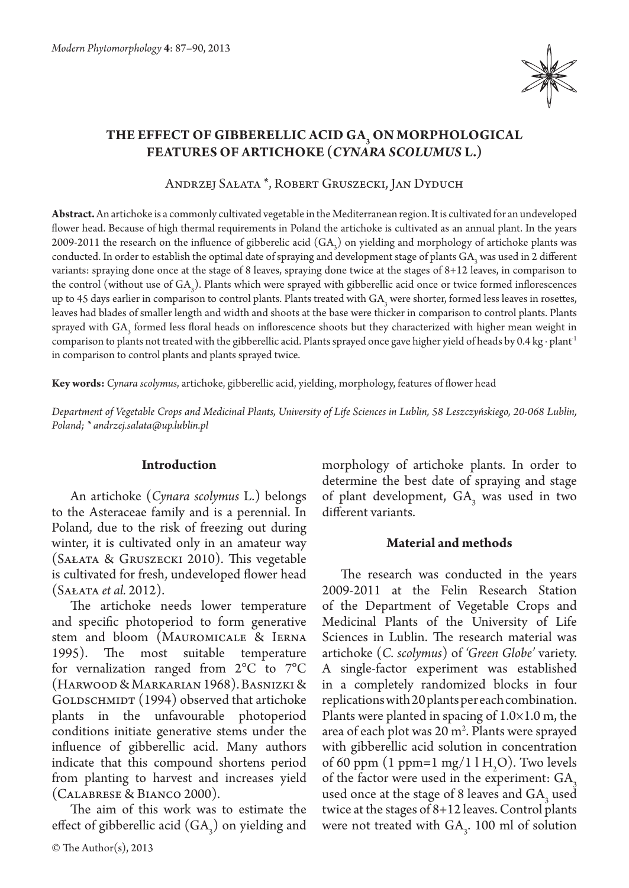

# **THE EFFECT OF GIBBERELLIC ACID GA3 ON MORPHOLOGICAL FEATURES OF ARTICHOKE (***CYNARA SCOLUMUS* **L.)**

Andrzej Sałata \*, Robert Gruszecki, Jan Dyduch

**Abstract.** An artichoke is a commonly cultivated vegetable in the Mediterranean region. It is cultivated for an undeveloped flower head. Because of high thermal requirements in Poland the artichoke is cultivated as an annual plant. In the years 2009-2011 the research on the influence of gibberelic acid  $(GA<sub>3</sub>)$  on yielding and morphology of artichoke plants was conducted. In order to establish the optimal date of spraying and development stage of plants GA<sub>3</sub> was used in 2 different variants: spraying done once at the stage of 8 leaves, spraying done twice at the stages of 8+12 leaves, in comparison to the control (without use of  $GA_3$ ). Plants which were sprayed with gibberellic acid once or twice formed inflorescences up to 45 days earlier in comparison to control plants. Plants treated with  $GA_{3}$  were shorter, formed less leaves in rosettes, leaves had blades of smaller length and width and shoots at the base were thicker in comparison to control plants. Plants sprayed with  $GA_{3}$  formed less floral heads on inflorescence shoots but they characterized with higher mean weight in comparison to plants not treated with the gibberellic acid. Plants sprayed once gave higher yield of heads by 0.4 kg ∙ plant-1 in comparison to control plants and plants sprayed twice.

**Key words:** *Cynara scolymus*, artichoke, gibberellic acid, yielding, morphology, features of flower head

*Department of Vegetable Crops and Medicinal Plants, University of Life Sciences in Lublin, 58 Leszczyńskiego, 20-068 Lublin, Poland; \* andrzej.salata@up.lublin.pl*

#### **Introduction**

An artichoke (*Cynara scolymus* L.) belongs to the Asteraceae family and is a perennial. In Poland, due to the risk of freezing out during winter, it is cultivated only in an amateur way (Sałata & Gruszecki 2010). This vegetable is cultivated for fresh, undeveloped flower head (Sałata *et al.* 2012).

The artichoke needs lower temperature and specific photoperiod to form generative stem and bloom (Mauromicale & Ierna 1995). The most suitable temperature for vernalization ranged from 2°C to 7°C (Harwood & Markarian 1968). Basnizki & GOLDSCHMIDT (1994) observed that artichoke plants in the unfavourable photoperiod conditions initiate generative stems under the influence of gibberellic acid. Many authors indicate that this compound shortens period from planting to harvest and increases yield (Calabrese & Bianco 2000).

The aim of this work was to estimate the effect of gibberellic acid  $(GA<sub>3</sub>)$  on yielding and morphology of artichoke plants. In order to determine the best date of spraying and stage of plant development,  $GA_3$  was used in two different variants.

#### **Material and methods**

The research was conducted in the years 2009-2011 at the Felin Research Station of the Department of Vegetable Crops and Medicinal Plants of the University of Life Sciences in Lublin. The research material was artichoke (*C. scolymus*) of *'Green Globe'* variety. A single-factor experiment was established in a completely randomized blocks in four replications with 20 plants per each combination. Plants were planted in spacing of  $1.0\times1.0$  m, the area of each plot was 20 m<sup>2</sup>. Plants were sprayed with gibberellic acid solution in concentration of 60 ppm (1 ppm=1 mg/1 l  $H<sub>2</sub>O$ ). Two levels of the factor were used in the experiment: GA<sub>3</sub> used once at the stage of 8 leaves and  $GA_3$  used twice at the stages of 8+12 leaves. Control plants were not treated with  $GA_{3}$ . 100 ml of solution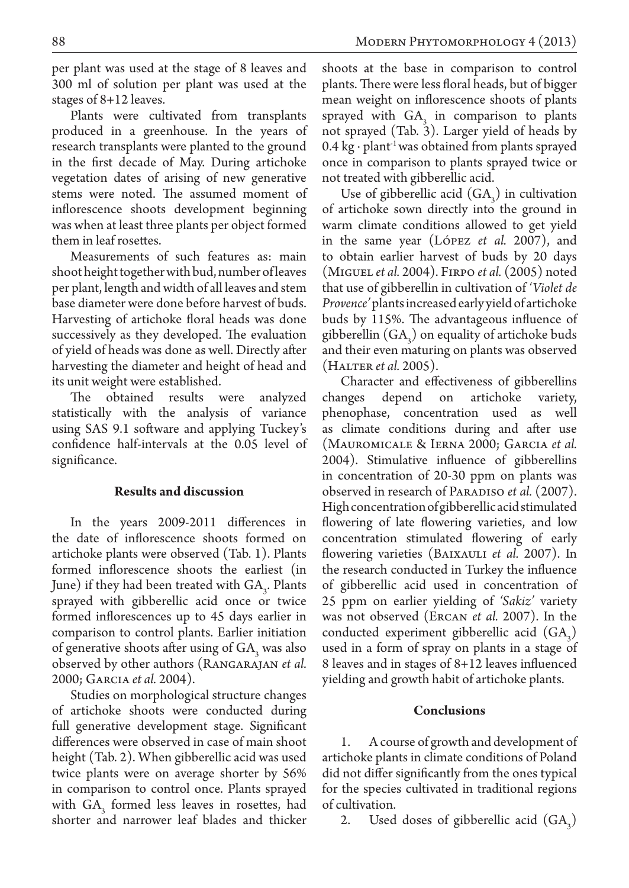per plant was used at the stage of 8 leaves and 300 ml of solution per plant was used at the stages of 8+12 leaves.

Plants were cultivated from transplants produced in a greenhouse. In the years of research transplants were planted to the ground in the first decade of May. During artichoke vegetation dates of arising of new generative stems were noted. The assumed moment of inflorescence shoots development beginning was when at least three plants per object formed them in leaf rosettes.

Measurements of such features as: main shoot height together with bud, number of leaves per plant, length and width of all leaves and stem base diameter were done before harvest of buds. Harvesting of artichoke floral heads was done successively as they developed. The evaluation of yield of heads was done as well. Directly after harvesting the diameter and height of head and its unit weight were established.

The obtained results were analyzed statistically with the analysis of variance using SAS 9.1 software and applying Tuckey's confidence half-intervals at the 0.05 level of significance.

## **Results and discussion**

In the years 2009-2011 differences in the date of inflorescence shoots formed on artichoke plants were observed (Tab. 1). Plants formed inflorescence shoots the earliest (in June) if they had been treated with  $GA_{3}$ . Plants sprayed with gibberellic acid once or twice formed inflorescences up to 45 days earlier in comparison to control plants. Earlier initiation of generative shoots after using of  $GA_3$  was also observed by other authors (Rangarajan *et al.*  2000; Garcia *et al.* 2004).

Studies on morphological structure changes of artichoke shoots were conducted during full generative development stage. Significant differences were observed in case of main shoot height (Tab. 2). When gibberellic acid was used twice plants were on average shorter by 56% in comparison to control once. Plants sprayed with  $GA_3$  formed less leaves in rosettes, had shorter and narrower leaf blades and thicker

shoots at the base in comparison to control plants. There were less floral heads, but of bigger mean weight on inflorescence shoots of plants sprayed with  $GA_3$  in comparison to plants not sprayed (Tab. 3). Larger yield of heads by 0.4 kg ⋅ plant<sup>-1</sup> was obtained from plants sprayed once in comparison to plants sprayed twice or not treated with gibberellic acid.

Use of gibberellic acid  $(GA_3)$  in cultivation of artichoke sown directly into the ground in warm climate conditions allowed to get yield in the same year (López *et al.* 2007), and to obtain earlier harvest of buds by 20 days (Miguel *et al.* 2004). Firpo *et al.* (2005) noted that use of gibberellin in cultivation of *'Violet de Provence'* plants increased early yield of artichoke buds by 115%. The advantageous influence of gibberellin  $(GA_3)$  on equality of artichoke buds and their even maturing on plants was observed (Halter *et al.* 2005).

Character and effectiveness of gibberellins changes depend on artichoke variety, phenophase, concentration used as well as climate conditions during and after use (Mauromicale & Ierna 2000; Garcia *et al.* 2004). Stimulative influence of gibberellins in concentration of 20-30 ppm on plants was observed in research of Paradiso *et al.* (2007). High concentration of gibberellic acid stimulated flowering of late flowering varieties, and low concentration stimulated flowering of early flowering varieties (Baixauli *et al.* 2007). In the research conducted in Turkey the influence of gibberellic acid used in concentration of 25 ppm on earlier yielding of *'Sakiz'* variety was not observed (Ercan *et al.* 2007). In the conducted experiment gibberellic acid  $(GA_3)$ used in a form of spray on plants in a stage of 8 leaves and in stages of 8+12 leaves influenced yielding and growth habit of artichoke plants.

## **Conclusions**

1. A course of growth and development of artichoke plants in climate conditions of Poland did not differ significantly from the ones typical for the species cultivated in traditional regions of cultivation.

2. Used doses of gibberellic acid  $(GA_3)$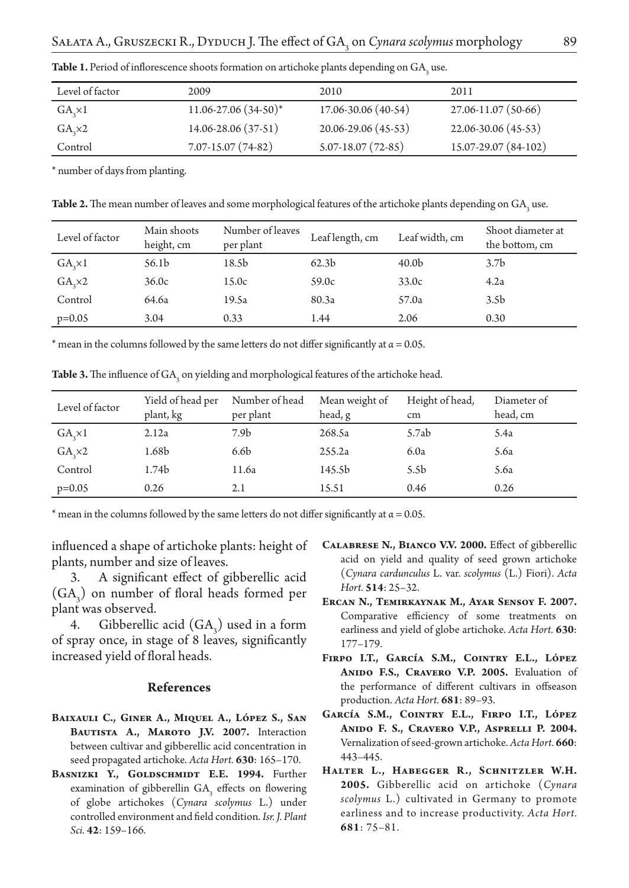| Level of factor   | 2009                       | 2010                    | 2011                 |
|-------------------|----------------------------|-------------------------|----------------------|
| GA, x1            | $11.06 - 27.06(34 - 50)^*$ | 17.06-30.06 (40-54)     | 27.06-11.07 (50-66)  |
| $GA$ <sub>2</sub> | 14.06-28.06 (37-51)        | 20.06-29.06 (45-53)     | 22.06-30.06 (45-53)  |
| Control           | $7.07 - 15.07(74 - 82)$    | $5.07 - 18.07(72 - 85)$ | 15.07-29.07 (84-102) |

**Table 1.** Period of inflorescence shoots formation on artichoke plants depending on  $GA_{3}$  use.

\* number of days from planting.

 ${\bf Table~2.}$  The mean number of leaves and some morphological features of the artichoke plants depending on  ${\rm GA}_{_3}$  use.

| Level of factor   | Main shoots<br>height, cm | Number of leaves<br>per plant | Leaf length, cm   | Leaf width, cm    | Shoot diameter at<br>the bottom, cm |
|-------------------|---------------------------|-------------------------------|-------------------|-------------------|-------------------------------------|
| $GA_{2} \times 1$ | 56.1b                     | 18.5b                         | 62.3 <sub>b</sub> | 40.0 <sub>b</sub> | 3.7 <sub>b</sub>                    |
| $GA$ , $\times 2$ | 36.0c                     | 15.0c                         | 59.0c             | 33.0c             | 4.2a                                |
| Control           | 64.6a                     | 19.5a                         | 80.3a             | 57.0a             | 3.5 <sub>b</sub>                    |
| $p=0.05$          | 3.04                      | 0.33                          | 1.44              | 2.06              | 0.30                                |

\* mean in the columns followed by the same letters do not differ significantly at  $\alpha$  = 0.05.

**Table 3.** The influence of  $GA_3$  on yielding and morphological features of the artichoke head.

| Level of factor        | Yield of head per<br>plant, kg | Number of head<br>per plant | Mean weight of<br>head, g | Height of head,<br>cm | Diameter of<br>head, cm |
|------------------------|--------------------------------|-----------------------------|---------------------------|-----------------------|-------------------------|
| $GA_{\gamma} \times 1$ | 2.12a                          | 7.9 <sub>b</sub>            | 268.5a                    | 5.7ab                 | 5.4a                    |
| $GA$ , $\times 2$      | 1.68b                          | 6.6 <sub>b</sub>            | 255.2a                    | 6.0a                  | 5.6a                    |
| Control                | 1.74b                          | 11.6a                       | 145.5b                    | 5.5 <sub>b</sub>      | 5.6a                    |
| $p=0.05$               | 0.26                           | 2.1                         | 15.51                     | 0.46                  | 0.26                    |

\* mean in the columns followed by the same letters do not differ significantly at  $\alpha$  = 0.05.

influenced a shape of artichoke plants: height of plants, number and size of leaves.

3. A significant effect of gibberellic acid  $(GA_3)$  on number of floral heads formed per plant was observed.

4. Gibberellic acid  $(GA_3)$  used in a form of spray once, in stage of 8 leaves, significantly increased yield of floral heads.

## **References**

- **Baixauli C., Giner A., Miquel A., López S., San**  BAUTISTA A., MAROTO J.V. 2007. Interaction between cultivar and gibberellic acid concentration in seed propagated artichoke. *Acta Hort.* **630**: 165–170.
- BASNIZKI Y., GOLDSCHMIDT E.E. 1994. Further examination of gibberellin  $GA_3$  effects on flowering of globe artichokes (*Cynara scolymus* L.) under controlled environment and field condition. *Isr. J. Plant Sci.* **42**: 159–166.
- **Calabrese N., Bianco V.V. 2000.** Effect of gibberellic acid on yield and quality of seed grown artichoke (*Cynara cardunculus* L. var. *scolymus* (L.) Fiori). *Acta Hort.* **514**: 25–32.
- **Ercan N., Temirkaynak M., Ayar Sensoy F. 2007.**  Comparative efficiency of some treatments on earliness and yield of globe artichoke. *Acta Hort.* **630**: 177–179.
- **Firpo I.T., García S.M., Cointry E.L., López**  ANIDO F.S., CRAVERO V.P. 2005. Evaluation of the performance of different cultivars in offseason production. *Acta Hort.* **681**: 89–93.
- **García S.M., Cointry E.L., Firpo I.T., López Anido F. S., Cravero V.P., Asprelli P. 2004.**  Vernalization of seed-grown artichoke. *Acta Hort.* **660**: 443–445.
- HALTER L., HABEGGER R., SCHNITZLER W.H. **2005.** Gibberellic acid on artichoke (*Cynara scolymus* L.) cultivated in Germany to promote earliness and to increase productivity. *Acta Hort.*  **681**: 75–81.